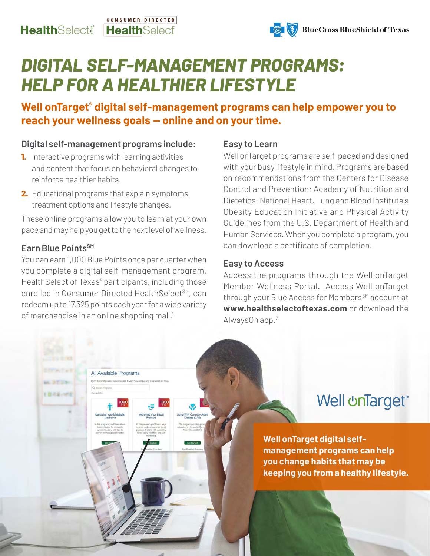#### CONSUMER DIRECTED **Health**Select! **HealthSelect**



# *DIGITAL SELF-MANAGEMENT PROGRAMS: HELP FOR A HEALTHIER LIFESTYLE*

**Well onTarget® digital self-management programs can help empower you to reach your wellness goals — online and on your time.**

#### **Digital self-management programs include:**

- **1.** Interactive programs with learning activities and content that focus on behavioral changes to reinforce healthier habits.
- **2.** Educational programs that explain symptoms, treatment options and lifestyle changes.

These online programs allow you to learn at your own pace and may help you get to the next level of wellness.

#### **Earn Blue PointsSM**

You can earn 1,000 Blue Points once per quarter when you complete a digital self-management program. Health Select of Texas<sup>®</sup> participants, including those enrolled in Consumer Directed HealthSelect<sup>SM</sup>, can redeem up to 17,325 points each year for a wide variety of merchandise in an online shopping mall.<sup>1</sup>

All Available Programs

#### **Easy to Learn**

Well onTarget programs are self-paced and designed with your busy lifestyle in mind. Programs are based on recommendations from the Centers for Disease Control and Prevention; Academy of Nutrition and Dietetics; National Heart, Lung and Blood Institute's Obesity Education Initiative and Physical Activity Guidelines from the U.S. Department of Health and Human Services. When you complete a program, you can download a certificate of completion.

#### **Easy to Access**

Access the programs through the Well onTarget Member Wellness Portal. Access Well onTarget through your Blue Access for Members<sup>SM</sup> account at **www.healthselectoftexas.com** or download the AlwaysOn app.2

## **Well unTarget®**

**Well onTarget digital selfmanagement programs can help you change habits that may be keeping you from a healthy lifestyle.**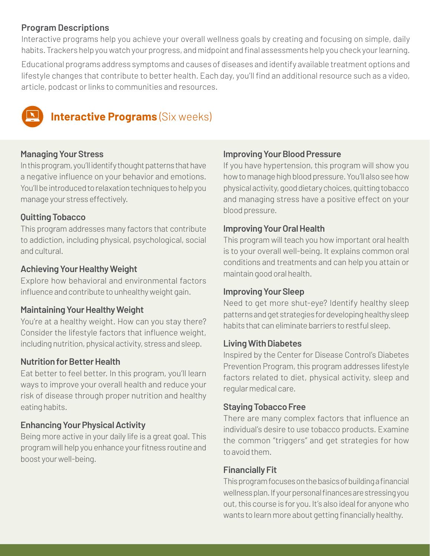#### **Program Descriptions**

Interactive programs help you achieve your overall wellness goals by creating and focusing on simple, daily habits. Trackers help you watch your progress, and midpoint and final assessments help you check your learning.

Educational programs address symptoms and causes of diseases and identify available treatment options and lifestyle changes that contribute to better health. Each day, you'll find an additional resource such as a video, article, podcast or links to communities and resources.



### **Interactive Programs** (Six weeks)

#### **Managing Your Stress**

In this program, you'll identify thought patterns that have a negative influence on your behavior and emotions. You'll be introduced to relaxation techniques to help you manage your stress effectively.

#### **Quitting Tobacco**

This program addresses many factors that contribute to addiction, including physical, psychological, social and cultural.

#### **Achieving Your Healthy Weight**

Explore how behavioral and environmental factors influence and contribute to unhealthy weight gain.

#### **Maintaining Your Healthy Weight**

You're at a healthy weight. How can you stay there? Consider the lifestyle factors that influence weight, including nutrition, physical activity, stress and sleep.

#### **Nutrition for Better Health**

Eat better to feel better. In this program, you'll learn ways to improve your overall health and reduce your risk of disease through proper nutrition and healthy eating habits.

### **Enhancing Your Physical Activity**

Being more active in your daily life is a great goal. This program will help you enhance your fitness routine and boost your well-being.

#### **Improving Your Blood Pressure**

If you have hypertension, this program will show you how to manage high blood pressure. You'll also see how physical activity, good dietary choices, quitting tobacco and managing stress have a positive effect on your blood pressure.

#### **Improving Your Oral Health**

This program will teach you how important oral health is to your overall well-being. It explains common oral conditions and treatments and can help you attain or maintain good oral health.

#### **Improving Your Sleep**

Need to get more shut-eye? Identify healthy sleep patterns and get strategies for developing healthy sleep habits that can eliminate barriers to restful sleep.

#### **Living With Diabetes**

Inspired by the Center for Disease Control's Diabetes Prevention Program, this program addresses lifestyle factors related to diet, physical activity, sleep and regular medical care.

#### **Staying Tobacco Free**

There are many complex factors that influence an individual's desire to use tobacco products. Examine the common "triggers" and get strategies for how to avoid them.

#### **Financially Fit**

This program focuses on the basics of building a financial wellness plan. If your personal finances are stressing you out, this course is for you. It's also ideal for anyone who wants to learn more about getting financially healthy.